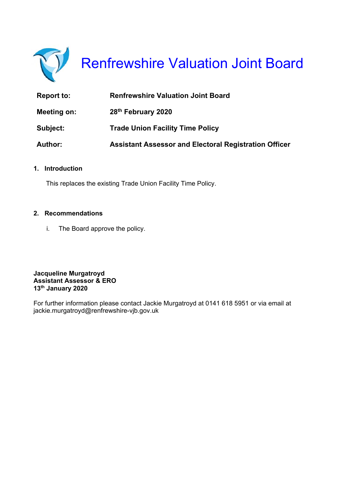

# Renfrewshire Valuation Joint Board

| Report to:     | <b>Renfrewshire Valuation Joint Board</b>                    |
|----------------|--------------------------------------------------------------|
| Meeting on:    | 28 <sup>th</sup> February 2020                               |
| Subject:       | <b>Trade Union Facility Time Policy</b>                      |
| <b>Author:</b> | <b>Assistant Assessor and Electoral Registration Officer</b> |

#### **1. Introduction**

This replaces the existing Trade Union Facility Time Policy.

#### **2. Recommendations**

i. The Board approve the policy.

**Jacqueline Murgatroyd Assistant Assessor & ERO 13th January 2020** 

For further information please contact Jackie Murgatroyd at 0141 618 5951 or via email at jackie.murgatroyd@renfrewshire-vjb.gov.uk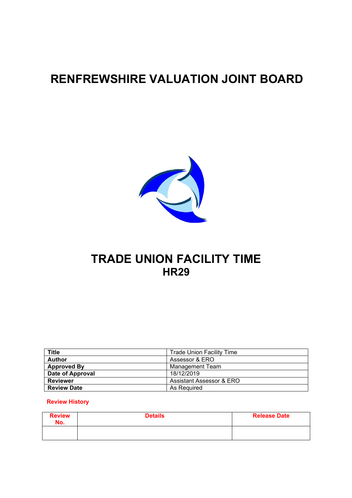# **RENFREWSHIRE VALUATION JOINT BOARD**



## **TRADE UNION FACILITY TIME HR29**

| <b>Title</b>       | <b>Trade Union Facility Time</b> |
|--------------------|----------------------------------|
| <b>Author</b>      | Assessor & ERO                   |
| <b>Approved By</b> | <b>Management Team</b>           |
| Date of Approval   | 18/12/2019                       |
| <b>Reviewer</b>    | Assistant Assessor & ERO         |
| <b>Review Date</b> | As Reguired                      |

#### **Review History**

| <b>Review</b><br>No. | <b>Details</b> | <b>Release Date</b> |  |  |  |
|----------------------|----------------|---------------------|--|--|--|
|                      |                |                     |  |  |  |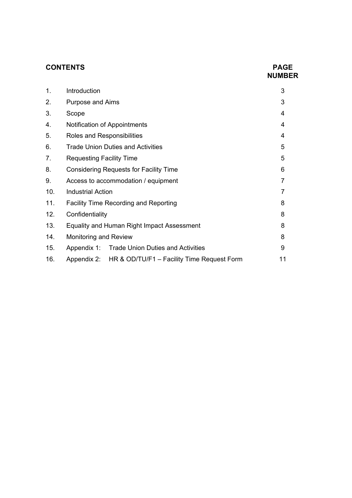#### **CONTENTS PAGE**

# **NUMBER**

| 1.  | Introduction                                           | 3 |  |
|-----|--------------------------------------------------------|---|--|
| 2.  | <b>Purpose and Aims</b>                                | 3 |  |
| 3.  | Scope                                                  | 4 |  |
| 4.  | Notification of Appointments                           | 4 |  |
| 5.  | Roles and Responsibilities                             | 4 |  |
| 6.  | <b>Trade Union Duties and Activities</b>               | 5 |  |
| 7.  | <b>Requesting Facility Time</b>                        | 5 |  |
| 8.  | <b>Considering Requests for Facility Time</b>          | 6 |  |
| 9.  | Access to accommodation / equipment                    | 7 |  |
| 10. | <b>Industrial Action</b>                               | 7 |  |
| 11. | <b>Facility Time Recording and Reporting</b>           | 8 |  |
| 12. | Confidentiality                                        | 8 |  |
| 13. | Equality and Human Right Impact Assessment             | 8 |  |
| 14. | <b>Monitoring and Review</b>                           | 8 |  |
| 15. | Appendix 1: Trade Union Duties and Activities          | 9 |  |
| 16. | Appendix 2: HR & OD/TU/F1 - Facility Time Request Form |   |  |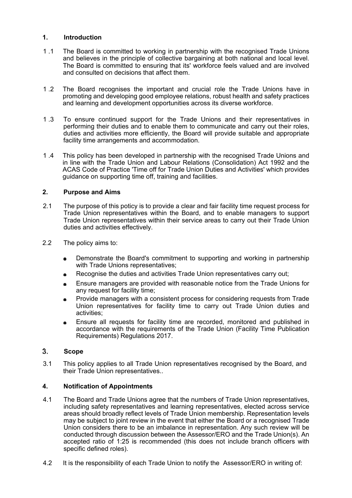#### **1. Introduction**

- 1 .1 The Board is committed to working in partnership with the recognised Trade Unions and believes in the principle of collective bargaining at both national and local level. The Board is committed to ensuring that its' workforce feels valued and are involved and consulted on decisions that affect them.
- 1 .2 The Board recognises the important and crucial role the Trade Unions have in promoting and developing good employee relations, robust health and safety practices and learning and development opportunities across its diverse workforce.
- 1 .3 To ensure continued support for the Trade Unions and their representatives in performing their duties and to enable them to communicate and carry out their roles, duties and activities more efficiently, the Board will provide suitable and appropriate facility time arrangements and accommodation.
- 1 .4 This policy has been developed in partnership with the recognised Trade Unions and in line with the Trade Union and Labour Relations (Consolidation) Act 1992 and the ACAS Code of Practice 'Time off for Trade Union Duties and Activities' which provides guidance on supporting time off, training and facilities.

#### **2. Purpose and Aims**

- 2.1 The purpose of this poticy is to provide a clear and fair facility time request process for Trade Union representatives within the Board, and to enable managers to support Trade Union representatives within their service areas to carry out their Trade Union duties and activities effectively.
- 2.2 The policy aims to:
	- Demonstrate the Board's commitment to supporting and working in partnership  $\bullet$ with Trade Unions representatives;
	- Recognise the duties and activities Trade Union representatives carry out;
	- Ensure managers are provided with reasonable notice from the Trade Unions for any request for facility time;
	- Provide managers with a consistent process for considering requests from Trade Union representatives for facility time to carry out Trade Union duties and activities;
	- Ensure all requests for facility time are recorded, monitored and published in accordance with the requirements of the Trade Union (Facility Time Publication Requirements) Regulations 2017.

#### **Scope**

3.1 This policy applies to all Trade Union representatives recognised by the Board, and their Trade Union representatives..

#### **4. Notification of Appointments**

- 4.1 The Board and Trade Unions agree that the numbers of Trade Union representatives, including safety representatives and learning representatives, elected across service areas should broadly reflect levels of Trade Union membership. Representation levels may be subject to joint review in the event that either the Board or a recognised Trade Union considers there to be an imbalance in representation. Any such review will be conducted through discussion between the Assessor/ERO and the Trade Union(s). An accepted ratio of 1:25 is recommended (this does not include branch officers with specific defined roles).
- 4.2 It is the responsibility of each Trade Union to notify the Assessor/ERO in writing of: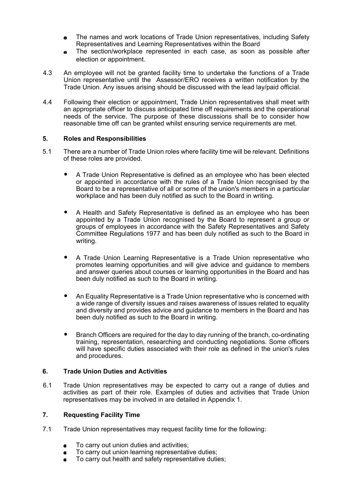- The names and work locations of Trade Union representatives, including Safety Representatives and Learning Representatives within the Board
- The section/workplace represented in each case, as soon as possible after election or appointment.
- 4.3 An employee will not be granted facility time to undertake the functions of a Trade Union representative until the Assessor/ERO receives a written notification by the Trade Union. Any issues arising should be discussed with the lead lay/paid official.
- 4.4 Following their election or appointment, Trade Union representatives shall meet with an appropriate officer to discuss anticipated time off requirements and the operational needs of the service. The purpose of these discussions shall be to consider how reasonable time off can be granted whilst ensuring service requirements are met.

#### **5. Roles and Responsibilities**

- 5.1 There are a number of Trade Union roles where facility time will be relevant. Definitions of these roles are provided.
	- A Trade Union Representative is defined as an employee who has been elected or appointed in accordance with the rules of a Trade Union recognised by the Board to be a representative of all or some of the union's members in a particular workplace and has been duly notified as such to the Board in writing.
	- A Health and Safety Representative is defined as an employee who has been appointed by a Trade Union recognised by the Board to represent a group or groups of employees in accordance with the Safety Representatives and Safety Committee Regulations 1977 and has been duly notified as such to the Board in writing.
	- A Trade Union Learning Representative is a Trade Union representative who promotes learning opportunities and will give advice and guidance to members and answer queries about courses or learning opportunities in the Board and has been duly notified as such to the Board in writing.
	- An Equality Representative is a Trade Union representative who is concerned with a wide range of diversity issues and raises awareness of issues related to equality and diversity and provides advice and guidance to members in the Board and has been duly notified as such to the Board in writing.
	- Branch Officers are required for the day to day running of the branch, co-ordinating training, representation, researching and conducting negotiations. Some officers will have specific duties associated with their role as defined in the union's rules and procedures.

#### **6. Trade Union Duties and Activities**

6.1 Trade Union representatives may be expected to carry out a range of duties and activities as part of their role. Examples of duties and activities that Trade Union representatives may be involved in are detailed in Appendix 1.

#### **7. Requesting Facility Time**

- 7.1 Trade Union representatives may request facility time for the following:
	- To carry out union duties and activities;
	- To carry out union learning representative duties;
	- To carry out health and safety representative duties;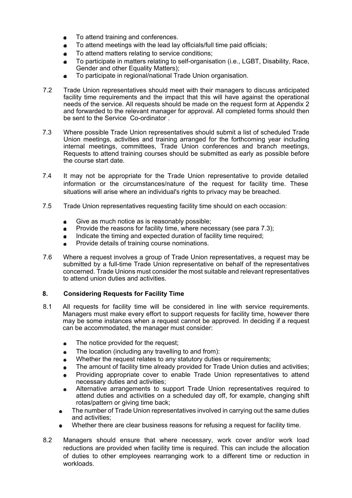- To attend training and conferences.  $\bullet$
- To attend meetings with the lead lay officials/full time paid officials;
- To attend matters relating to service conditions;
- To participate in matters relating to self-organisation (i.e., LGBT, Disability, Race, Gender and other Equality Matters);
- To participate in regional/national Trade Union organisation.  $\bullet$
- 7.2 Trade Union representatives should meet with their managers to discuss anticipated facility time requirements and the impact that this will have against the operational needs of the service. All requests should be made on the request form at Appendix 2 and forwarded to the relevant manager for approval. All completed forms should then be sent to the Service Co-ordinator .
- 7.3 Where possible Trade Union representatives should submit a list of scheduled Trade Union meetings, activities and training arranged for the forthcoming year including internal meetings, committees, Trade Union conferences and branch meetings, Requests to attend training courses should be submitted as early as possible before the course start date.
- 7.4 It may not be appropriate for the Trade Union representative to provide detailed information or the circumstances/nature of the request for facility time. These situations will arise where an individual's rights to privacy may be breached.
- 7.5 Trade Union representatives requesting facility time should on each occasion:
	- Give as much notice as is reasonably possible;  $\bullet$
	- $\bullet$ Provide the reasons for facility time, where necessary (see para 7.3);
	- Indicate the timing and expected duration of facility time required;
	- Provide details of training course nominations.  $\blacksquare$
- 7.6 Where a request involves a group of Trade Union representatives, a request may be submitted by a full-time Trade Union representative on behalf of the representatives concerned. Trade Unions must consider the most suitable and relevant representatives to attend union duties and activities.

#### **8. Considering Requests for Facility Time**

- 8.1 All requests for facility time will be considered in line with service requirements. Managers must make every effort to support requests for facility time, however there may be some instances when a request cannot be approved. In deciding if a request can be accommodated, the manager must consider:
	- The notice provided for the request;  $\bullet$
	- The location (including any travelling to and from):
	- Whether the request relates to any statutory duties or requirements;
	- The amount of facility time already provided for Trade Union duties and activities;  $\blacksquare$
	- Providing appropriate cover to enable Trade Union representatives to attend necessary duties and activities;
	- Alternative arrangements to support Trade Union representatives required to attend duties and activities on a scheduled day off, for example, changing shift rotas/pattern or giving time back;
	- The number of Trade Union representatives involved in carrying out the same duties and activities;
	- Whether there are clear business reasons for refusing a request for facility time.
- 8.2 Managers should ensure that where necessary, work cover and/or work load reductions are provided when facility time is required. This can include the allocation of duties to other employees rearranging work to a different time or reduction in workloads.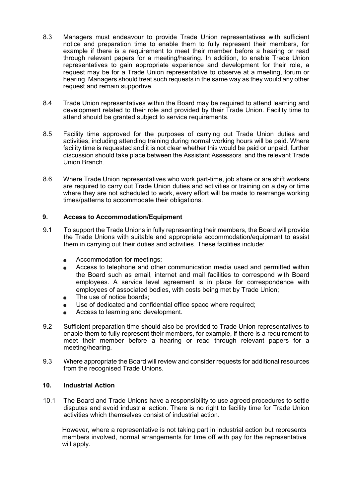- 8.3 Managers must endeavour to provide Trade Union representatives with sufficient notice and preparation time to enable them to fully represent their members, for example if there is a requirement to meet their member before a hearing or read through relevant papers for a meeting/hearing. In addition, to enable Trade Union representatives to gain appropriate experience and development for their role, a request may be for a Trade Union representative to observe at a meeting, forum or hearing. Managers should treat such requests in the same way as they would any other request and remain supportive.
- 8.4 Trade Union representatives within the Board may be required to attend learning and development related to their role and provided by their Trade Union. Facility time to attend should be granted subject to service requirements.
- 8.5 Facility time approved for the purposes of carrying out Trade Union duties and activities, including attending training during normal working hours will be paid. Where facility time is requested and it is not clear whether this would be paid or unpaid, further discussion should take place between the Assistant Assessors and the relevant Trade Union Branch.
- 8.6 Where Trade Union representatives who work part-time, job share or are shift workers are required to carry out Trade Union duties and activities or training on a day or time where they are not scheduled to work, every effort will be made to rearrange working times/patterns to accommodate their obligations.

#### **9. Access to Accommodation/Equipment**

- 9.1 To support the Trade Unions in fully representing their members, the Board will provide the Trade Unions with suitable and appropriate accommodation/equipment to assist them in carrying out their duties and activities. These facilities include:
	- Accommodation for meetings;
	- Access to telephone and other communication media used and permitted within the Board such as email, internet and mail facilities to correspond with Board employees. A service level agreement is in place for correspondence with employees of associated bodies, with costs being met by Trade Union;
	- The use of notice boards;
	- Use of dedicated and confidential office space where required;
	- Access to learning and development.
- 9.2 Sufficient preparation time should also be provided to Trade Union representatives to enable them to fully represent their members, for example, if there is a requirement to meet their member before a hearing or read through relevant papers for a meeting/hearing.
- 9.3 Where appropriate the Board will review and consider requests for additional resources from the recognised Trade Unions.

#### **10. Industrial Action**

10.1 The Board and Trade Unions have a responsibility to use agreed procedures to settle disputes and avoid industrial action. There is no right to facility time for Trade Union activities which themselves consist of industrial action.

However, where a representative is not taking part in industrial action but represents members involved, normal arrangements for time off with pay for the representative will apply.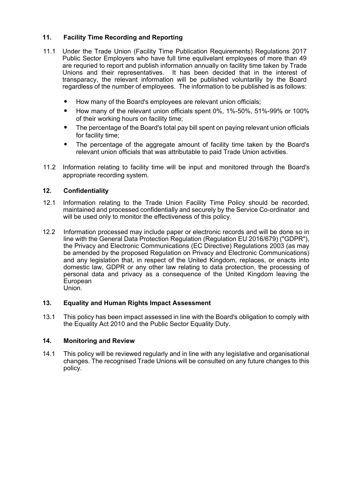#### **11. Facility Time Recording and Reporting**

- 11.1 Under the Trade Union (Facility Time Publication Requirements) Regulations 2017 Public Sector Employers who have full time equlivelant employees of more than 49 are requried to report and publish information annually on facility time taken by Trade Unions and their representatives. It has been decided that in the interest of transparacy, the relevant information will be published voluntarlily by the Board regardless of the number of employees. The information to be published is as follows:
	- How many of the Board's employees are relevant union officials;
	- How many of the relevant union officials spent 0%, 1%-50%, 51%-99% or 100% of their working hours on facility time;
	- The percentage of the Board's total pay bill spent on paying relevant union officials for facility time;
	- The percentage of the aggregate amount of facility time taken by the Board's relevant union officials that was attributable to paid Trade Union activities.
- 11.2 Information relating to facility time will be input and monitored through the Board's appropriate recording system.

#### **12. Confidentiality**

- 12.1 Information relating to the Trade Union Facility Time Policy should be recorded, maintained and processed confidentially and securely by the Service Co-ordinator and will be used only to monitor the effectiveness of this policy.
- 12.2 Information processed may include paper or electronic records and will be done so in line with the General Data Protection Regulation (Regulation EU 2016/679) ("GDPR"), the Privacy and Electronic Communications (EC Directive) Regulations 2003 (as may be amended by the proposed Regulation on Privacy and Electronic Communications) and any legislation that, in respect of the United Kingdom, replaces, or enacts into domestic law, GDPR or any other law relating to data protection, the processing of personal data and privacy as a consequence of the United Kingdom leaving the European Union.

#### **13. Equality and Human Rights Impact Assessment**

13.1 This policy has been impact assessed in line with the Board's obligation to comply with the Equality Act 2010 and the Public Sector Equality Duty.

#### **14. Monitoring and Review**

14.1 This policy will be reviewed regularly and in line with any legislative and organisational changes. The recognised Trade Unions will be consulted on any future changes to this policy.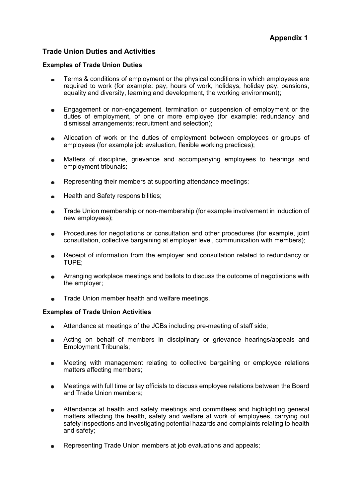#### **Trade Union Duties and Activities**

#### **Examples of Trade Union Duties**

- Terms & conditions of employment or the physical conditions in which employees are required to work (for example: pay, hours of work, holidays, holiday pay, pensions, equality and diversity, learning and development, the working environment);
- Engagement or non-engagement, termination or suspension of employment or the  $\blacksquare$ duties of employment, of one or more employee (for example: redundancy and dismissal arrangements; recruitment and selection);
- Allocation of work or the duties of employment between employees or groups of  $\bullet$ employees (for example job evaluation, flexible working practices);
- Matters of discipline, grievance and accompanying employees to hearings and  $\bullet$ employment tribunals;
- Representing their members at supporting attendance meetings;  $\bullet$
- Health and Safety responsibilities;  $\bullet$
- Trade Union membership or non-membership (for example involvement in induction of  $\bullet$ new employees);
- Procedures for negotiations or consultation and other procedures (for example, joint consultation, collective bargaining at employer level, communication with members);
- Receipt of information from the employer and consultation related to redundancy or  $\bullet$ TUPE;
- Arranging workplace meetings and ballots to discuss the outcome of negotiations with  $\bullet$ the employer;
- Trade Union member health and welfare meetings.

#### **Examples of Trade Union Activities**

- Attendance at meetings of the JCBs including pre-meeting of staff side;
- Acting on behalf of members in disciplinary or grievance hearings/appeals and Employment Tribunals;
- Meeting with management relating to collective bargaining or employee relations  $\bullet$ matters affecting members;
- Meetings with full time or lay officials to discuss employee relations between the Board and Trade Union members:
- Attendance at health and safety meetings and committees and highlighting general  $\bullet$ matters affecting the health, safety and welfare at work of employees, carrying out safety inspections and investigating potential hazards and complaints relating to health and safety;
- Representing Trade Union members at job evaluations and appeals;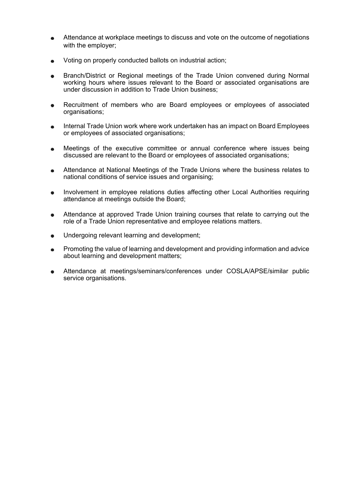- Attendance at workplace meetings to discuss and vote on the outcome of negotiations with the employer:
- Voting on properly conducted ballots on industrial action;
- Branch/District or Regional meetings of the Trade Union convened during Normal working hours where issues relevant to the Board or associated organisations are under discussion in addition to Trade Union business;
- Recruitment of members who are Board employees or employees of associated organisations;
- Internal Trade Union work where work undertaken has an impact on Board Employees or employees of associated organisations;
- Meetings of the executive committee or annual conference where issues being  $\bullet$ discussed are relevant to the Board or employees of associated organisations;
- Attendance at National Meetings of the Trade Unions where the business relates to  $\blacksquare$ national conditions of service issues and organising;
- Involvement in employee relations duties affecting other Local Authorities requiring attendance at meetings outside the Board;
- Attendance at approved Trade Union training courses that relate to carrying out the  $\bullet$ role of a Trade Union representative and employee relations matters.
- Undergoing relevant learning and development;  $\bullet$
- Promoting the value of learning and development and providing information and advice about learning and development matters;
- Attendance at meetings/seminars/conferences under COSLA/APSE/similar public service organisations.